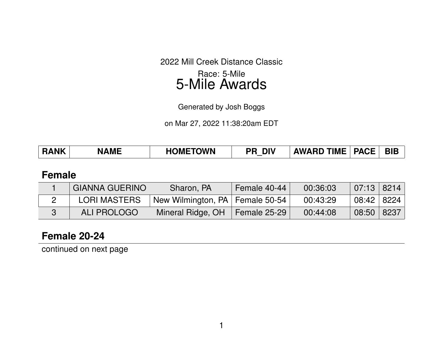2022 Mill Creek Distance Classic Race: 5-Mile

# 5-Mile Awards

Generated by Josh Boggs

on Mar 27, 2022 11:38:20am EDT

| <b>HOMETOWN</b><br><b>RANK</b><br><b>NAME</b> | אוכ | $\overline{\phantom{a}}$ AWARD TIME $\overline{\phantom{a}}$ | <b>PACE</b> | BIB |
|-----------------------------------------------|-----|--------------------------------------------------------------|-------------|-----|
|-----------------------------------------------|-----|--------------------------------------------------------------|-------------|-----|

### **Female**

| <b>GIANNA GUERINO</b> | Sharon, PA                        | Female 40-44 | 00:36:03 | $07:13$   8214 |  |
|-----------------------|-----------------------------------|--------------|----------|----------------|--|
| <b>LORI MASTERS</b>   | New Wilmington, PA   Female 50-54 |              | 00:43:29 | 08:42   8224   |  |
| <b>ALI PROLOGO</b>    | Mineral Ridge, OH                 | Female 25-29 | 00:44:08 | 08:50   8237   |  |

## **Female 20-24**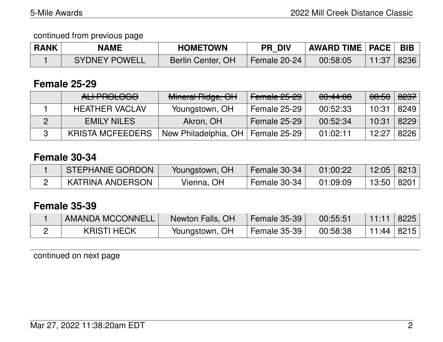continued from previous page

| <b>RANK</b> | <b>NAME</b>          | <b>HOMETOWN</b>   | <b>PR DIV</b> | AWARD TIME   PACE   BIB |       |      |
|-------------|----------------------|-------------------|---------------|-------------------------|-------|------|
|             | <b>SYDNEY POWELL</b> | Berlin Center, OH | Female 20-24  | 00:58:05                | 11:37 | 8236 |

## **Female 25-29**

| ALI-PROLOGO             | Mineral Ridge, OH    | Female 25-29        | 00:44:08 | <del>08:50</del> | 8237 |
|-------------------------|----------------------|---------------------|----------|------------------|------|
| <b>HEATHER VACLAV</b>   | Youngstown, OH       | Female 25-29        | 00:52:33 | 10:31            | 8249 |
| <b>EMILY NILES</b>      | Akron, OH            | <b>Female 25-29</b> | 00:52:34 | 10:31            | 8229 |
| <b>KRISTA MCFEEDERS</b> | New Philadelphia, OH | Female 25-29        | 01:02:11 | 12:27            | 8226 |

# **Female 30-34**

| <b>STEPHANIE GORDON</b> | Youngstown, OH | Female 30-34 | 01:00:22 | $12:05$ 8213 |  |
|-------------------------|----------------|--------------|----------|--------------|--|
| KATRINA ANDERSON        | Vienna, OH     | Female 30-34 | 01:09:09 | 13:50   8201 |  |

### **Female 35-39**

| AMANDA MCCONNELL   | Newton Falls, OH | Female 35-39 | 00:55:51 | $\sim$ 11:11 $\sim$ | 8225 |
|--------------------|------------------|--------------|----------|---------------------|------|
| <b>KRISTI HECK</b> | Youngstown, OH   | Female 35-39 | 00:58:38 | 11:44   8215        |      |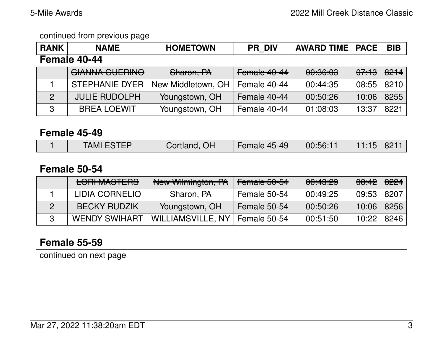#### continued from previous page

| <b>RANK</b>    | <b>NAME</b>           | <b>HOMETOWN</b>    | <b>PR DIV</b> | <b>AWARD TIME</b> | <b>PACE</b> | <b>BIB</b> |
|----------------|-----------------------|--------------------|---------------|-------------------|-------------|------------|
|                | Female 40-44          |                    |               |                   |             |            |
|                | <b>GIANNA GUERINO</b> | Sharon, PA         | Female 40-44  | 00:36:03          | 07:13       | 8214       |
|                | <b>STEPHANIE DYER</b> | New Middletown, OH | Female 40-44  | 00:44:35          | 08:55       | 8210       |
| $\overline{2}$ | <b>JULIE RUDOLPH</b>  | Youngstown, OH     | Female 40-44  | 00:50:26          | 10:06       | 8255       |
| -3             | <b>BREA LOEWIT</b>    | Youngstown, OH     | Female 40-44  | 01:08:03          | 13:37       | 8221       |

#### **Female 45-49**

#### **Female 50-54**

| <b>LORI MASTERS</b>  | New Wilmington, PA               | Female 50-54 | 00:43:29 | <del>08:42</del> | 8224 |
|----------------------|----------------------------------|--------------|----------|------------------|------|
| LIDIA CORNELIO       | Sharon, PA                       | Female 50-54 | 00:49:25 | 09:53            | 8207 |
| <b>BECKY RUDZIK</b>  | Youngstown, OH                   | Female 50-54 | 00:50:26 | 10:06            | 8256 |
| <b>WENDY SWIHART</b> | WILLIAMSVILLE, NY   Female 50-54 |              | 00:51:50 | 10:22            | 8246 |

# **Female 55-59**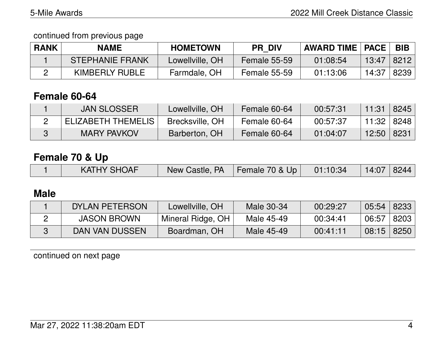continued from previous page

| <b>RANK</b> | NAME                   | <b>HOMETOWN</b> | <b>PR DIV</b>       | <b>AWARD TIME   PACE  </b> |       | <b>BIB</b> |
|-------------|------------------------|-----------------|---------------------|----------------------------|-------|------------|
|             | <b>STEPHANIE FRANK</b> | Lowellville, OH | <b>Female 55-59</b> | 01:08:54                   | 13:47 | 8212       |
|             | KIMBERLY RUBLE         | Farmdale, OH    | Female 55-59        | 01:13:06                   | 14:37 | 8239       |

# **Female 60-64**

| ∖JAN SLOSSER ∖     | Lowellville, OH | Female 60-64 | 00:57:31 | 11:31 | 8245             |
|--------------------|-----------------|--------------|----------|-------|------------------|
| ELIZABETH THEMELIS | Brecksville, OH | Female 60-64 | 00:57:37 | 11:32 | $\parallel$ 8248 |
| <b>MARY PAVKOV</b> | Barberton, OH   | Female 60-64 | 01:04:07 | 12:50 | 8231             |

# **Female 70 & Up**

|  | <b>KATHY SHOAF</b> | New Castle, PA $\vert$ Female 70 & Up $\vert$ 01:10:34 |  |  | $14:07$ 8244 |  |
|--|--------------------|--------------------------------------------------------|--|--|--------------|--|
|--|--------------------|--------------------------------------------------------|--|--|--------------|--|

# **Male**

| DYLAN PETERSON     | Lowellville, OH   | Male 30-34 | 00:29:27 | $05:54$   8233 |      |
|--------------------|-------------------|------------|----------|----------------|------|
| <b>JASON BROWN</b> | Mineral Ridge, OH | Male 45-49 | 00:34:41 | 06:57          | 8203 |
| DAN VAN DUSSEN     | Boardman, OH      | Male 45-49 | 00:41:11 | $08:15$   8250 |      |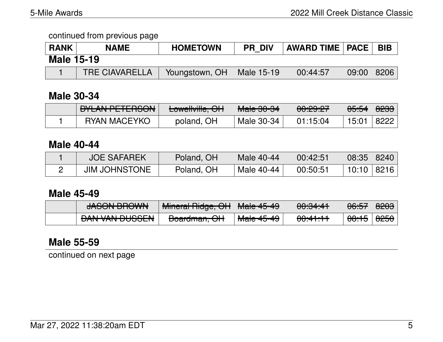#### continued from previous page

| <b>RANK</b>       | <b>NAME</b>           | <b>HOMETOWN</b>             | <b>PR DIV</b> | $\mid$ AWARD TIME $\mid$ PACE $\mid$ |              | <b>BIB</b> |
|-------------------|-----------------------|-----------------------------|---------------|--------------------------------------|--------------|------------|
| <b>Male 15-19</b> |                       |                             |               |                                      |              |            |
|                   | <b>TRE CIAVARELLA</b> | Youngstown, OH   Male 15-19 |               | 00:44:57                             | $09:00$ 8206 |            |

### **Male 30-34**

| <b>NILAN DETEDOONI</b><br><u>/ DTLAINT LTLITUUIN</u> | أأأت والسالسين المتنبوط<br><b>LUWGINIIIG, UIT</b> | <del>Male 30-34</del> | <u>00.00.07</u><br>00.23.21 | <del>05:54</del> ∣ <del>8233</del> |      |
|------------------------------------------------------|---------------------------------------------------|-----------------------|-----------------------------|------------------------------------|------|
| <b>RYAN MACEYKO</b>                                  | poland, OH                                        | Male 30-34            | 01:15:04                    | 15:01                              | 8222 |

#### **Male 40-44**

| <b>JOE SAFAREK</b>   | Poland, OH | Male 40-44 | 00:42:51 | 08:35   8240 |  |
|----------------------|------------|------------|----------|--------------|--|
| <b>JIM JOHNSTONE</b> | Poland, OH | Male 40-44 | 00:50:51 | 10:10   8216 |  |

## **Male 45-49**

| IACONI DDOIMI<br><del>unuu kuundessa</del> | Mineral Didge OLI<br><del>mincial niuyc, On</del> | $M0$ $\wedge$ $\wedge$ $\wedge$<br>T <del>idio 40°40</del> | 0.0.04.44<br><del>oo.o<del>n.n</del></del> | AC.ET<br>00.JT                                     | <del>8203</del> |
|--------------------------------------------|---------------------------------------------------|------------------------------------------------------------|--------------------------------------------|----------------------------------------------------|-----------------|
| <b>DANI VANI DI IOOFNI</b>                 | D                                                 | $M = 4E 4Q$                                                | 00.44.44                                   | 0.4E                                               | $\Omega$        |
| <u>DAIY VAN DUOOLIV</u>                    | <del>buaruman, Urt</del>                          | <del>Maic प</del> र्णमण                                    | <del>uu. 11. 11</del>                      | $\overline{\mathtt{U} \mathtt{O}.\top \mathtt{J}}$ | 0200            |

# **Male 55-59**